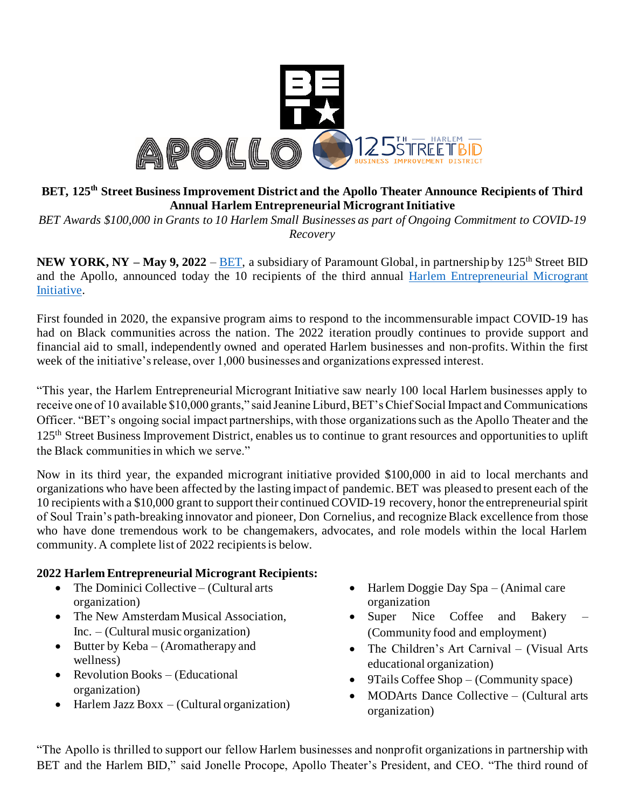

# **BET, 125th Street Business Improvement District and the Apollo Theater Announce Recipients of Third Annual Harlem Entrepreneurial Microgrant Initiative**

*BET Awards \$100,000 in Grants to 10 Harlem Small Businesses as part of Ongoing Commitment to COVID-19 Recovery*

**NEW YORK, NY – May 9, 2022 – [BET,](https://www.bet.com/)** a subsidiary of Paramount Global, in partnership by 125<sup>th</sup> Street BID and the Apollo, announced today the 10 recipients of the third annual [Harlem Entrepreneurial Microgrant](https://www.apollotheater.org/event/harlem-entrepreneurial-micro-grant-initiative-2022/) [Initiative.](https://www.apollotheater.org/event/harlem-entrepreneurial-micro-grant-initiative-2022/)

First founded in 2020, the expansive program aims to respond to the incommensurable impact COVID-19 has had on Black communities across the nation. The 2022 iteration proudly continues to provide support and financial aid to small, independently owned and operated Harlem businesses and non-profits. Within the first week of the initiative's release, over 1,000 businesses and organizations expressed interest.

"This year, the Harlem Entrepreneurial Microgrant Initiative saw nearly 100 local Harlem businesses apply to receive one of 10 available \$10,000 grants," said Jeanine Liburd, BET's Chief Social Impact and Communications Officer. "BET's ongoing social impact partnerships, with those organizations such as the Apollo Theater and the 125<sup>th</sup> Street Business Improvement District, enables us to continue to grant resources and opportunities to uplift the Black communities in which we serve."

Now in its third year, the expanded microgrant initiative provided \$100,000 in aid to local merchants and organizations who have been affected by the lasting impact of pandemic. BET was pleased to present each of the 10 recipients with a \$10,000 grant to support their continued COVID-19 recovery, honor the entrepreneurial spirit of Soul Train's path-breaking innovator and pioneer, Don Cornelius, and recognize Black excellence from those who have done tremendous work to be changemakers, advocates, and role models within the local Harlem community. A complete list of 2022 recipients is below.

## **2022 Harlem Entrepreneurial Microgrant Recipients:**

- The Dominici Collective (Cultural arts organization)
- The New Amsterdam Musical Association, Inc. – (Cultural music organization)
- Butter by Keba (Aromatherapy and wellness)
- Revolution Books (Educational organization)
- Harlem Jazz Boxx (Cultural organization)
- Harlem Doggie Day Spa (Animal care organization
- Super Nice Coffee and Bakery (Community food and employment)
- The Children's Art Carnival (Visual Arts) educational organization)
- 9Tails Coffee Shop (Community space)
- MODArts Dance Collective (Cultural arts organization)

"The Apollo is thrilled to support our fellow Harlem businesses and nonprofit organizations in partnership with BET and the Harlem BID," said Jonelle Procope, Apollo Theater's President, and CEO. "The third round of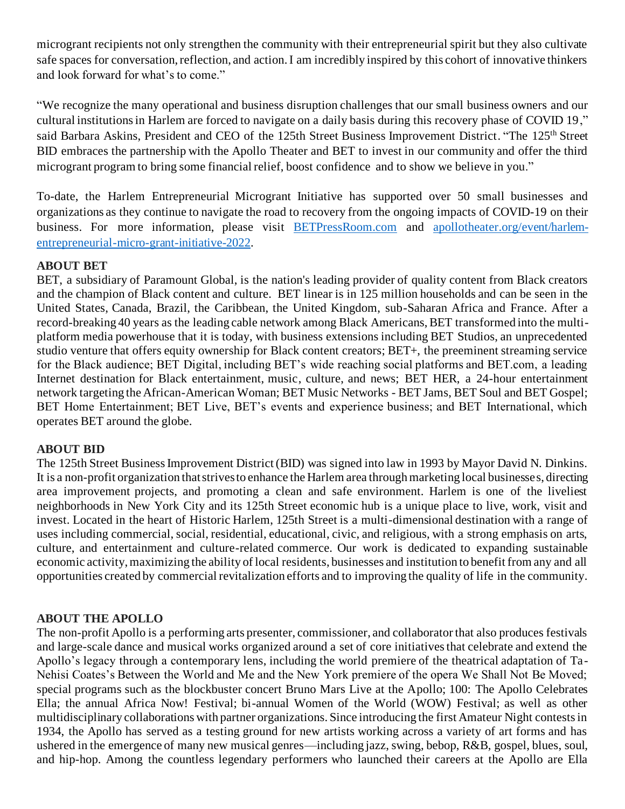microgrant recipients not only strengthen the community with their entrepreneurial spirit but they also cultivate safe spaces for conversation, reflection, and action. I am incredibly inspired by this cohort of innovative thinkers and look forward for what's to come."

"We recognize the many operational and business disruption challenges that our small business owners and our cultural institutions in Harlem are forced to navigate on a daily basis during this recovery phase of COVID 19," said Barbara Askins, President and CEO of the 125th Street Business Improvement District. "The 125th Street BID embraces the partnership with the Apollo Theater and BET to invest in our community and offer the third microgrant program to bring some financial relief, boost confidence and to show we believe in you."

To-date, the Harlem Entrepreneurial Microgrant Initiative has supported over 50 small businesses and organizations as they continue to navigate the road to recovery from the ongoing impacts of COVID-19 on their business. For more information, please visit [BETPressRoom.com](https://www.betpressroom.com/) and [apollotheater.org/event/harlem](https://www.apollotheater.org/event/harlem-entrepreneurial-micro-grant-initiative-2022/)[entrepreneurial-micro-grant-initiative-2022.](https://www.apollotheater.org/event/harlem-entrepreneurial-micro-grant-initiative-2022/)

## **ABOUT BET**

BET, a subsidiary of Paramount Global, is the nation's leading provider of quality content from Black creators and the champion of Black content and culture. BET linear is in 125 million households and can be seen in the United States, Canada, Brazil, the Caribbean, the United Kingdom, sub-Saharan Africa and France. After a record-breaking 40 years as the leading cable network among Black Americans, BET transformed into the multiplatform media powerhouse that it is today, with business extensions including BET Studios, an unprecedented studio venture that offers equity ownership for Black content creators; BET+, the preeminent streaming service for the Black audience; BET Digital, including BET's wide reaching social platforms and BET.com, a leading Internet destination for Black entertainment, music, culture, and news; BET HER, a 24-hour entertainment network targeting the African-American Woman; BET Music Networks - BET Jams, BET Soul and BET Gospel; BET Home Entertainment; BET Live, BET's events and experience business; and BET International, which operates BET around the globe.

### **ABOUT BID**

The 125th Street Business Improvement District (BID) was signed into law in 1993 by Mayor David N. Dinkins. It is a non-profit organization that strives to enhance the Harlem area through marketing local businesses, directing area improvement projects, and promoting a clean and safe environment. Harlem is one of the liveliest neighborhoods in New York City and its 125th Street economic hub is a unique place to live, work, visit and invest. Located in the heart of Historic Harlem, 125th Street is a multi-dimensional destination with a range of uses including commercial, social, residential, educational, civic, and religious, with a strong emphasis on arts, culture, and entertainment and culture-related commerce. Our work is dedicated to expanding sustainable economic activity, maximizing the ability of local residents, businesses and institution to benefit from any and all opportunities created by commercial revitalization efforts and to improving the quality of life in the community.

## **ABOUT THE APOLLO**

The non-profit Apollo is a performing arts presenter, commissioner, and collaborator that also produces festivals and large-scale dance and musical works organized around a set of core initiatives that celebrate and extend the Apollo's legacy through a contemporary lens, including the world premiere of the theatrical adaptation of Ta-Nehisi Coates's Between the World and Me and the New York premiere of the opera We Shall Not Be Moved; special programs such as the blockbuster concert Bruno Mars Live at the Apollo; 100: The Apollo Celebrates Ella; the annual Africa Now! Festival; bi-annual Women of the World (WOW) Festival; as well as other multidisciplinary collaborations with partner organizations. Since introducing the first Amateur Night contests in 1934, the Apollo has served as a testing ground for new artists working across a variety of art forms and has ushered in the emergence of many new musical genres—including jazz, swing, bebop, R&B, gospel, blues, soul, and hip-hop. Among the countless legendary performers who launched their careers at the Apollo are Ella